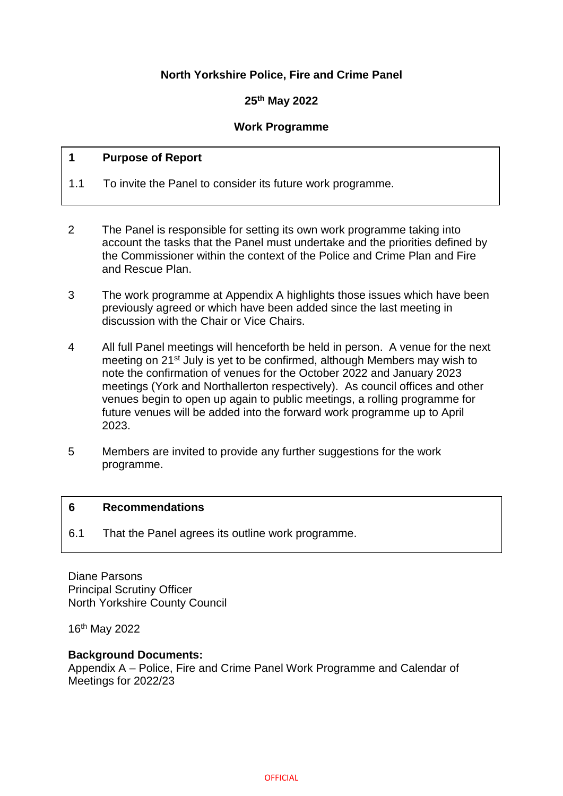## **North Yorkshire Police, Fire and Crime Panel**

## **25th May 2022**

### **Work Programme**

### **1 Purpose of Report**

- 1.1 To invite the Panel to consider its future work programme.
- 2 The Panel is responsible for setting its own work programme taking into account the tasks that the Panel must undertake and the priorities defined by the Commissioner within the context of the Police and Crime Plan and Fire and Rescue Plan. 2
- 3 The work programme at Appendix A highlights those issues which have been previously agreed or which have been added since the last meeting in discussion with the Chair or Vice Chairs.
- 4 All full Panel meetings will henceforth be held in person. A venue for the next meeting on 21st July is yet to be confirmed, although Members may wish to note the confirmation of venues for the October 2022 and January 2023 meetings (York and Northallerton respectively). As council offices and other venues begin to open up again to public meetings, a rolling programme for future venues will be added into the forward work programme up to April 2023.
- 5 Members are invited to provide any further suggestions for the work programme.

#### **6 Recommendations**

6.1 That the Panel agrees its outline work programme.

Diane Parsons Principal Scrutiny Officer North Yorkshire County Council

16th May 2022

#### **Background Documents:**

Appendix A – Police, Fire and Crime Panel Work Programme and Calendar of Meetings for 2022/23

**OFFICIAL**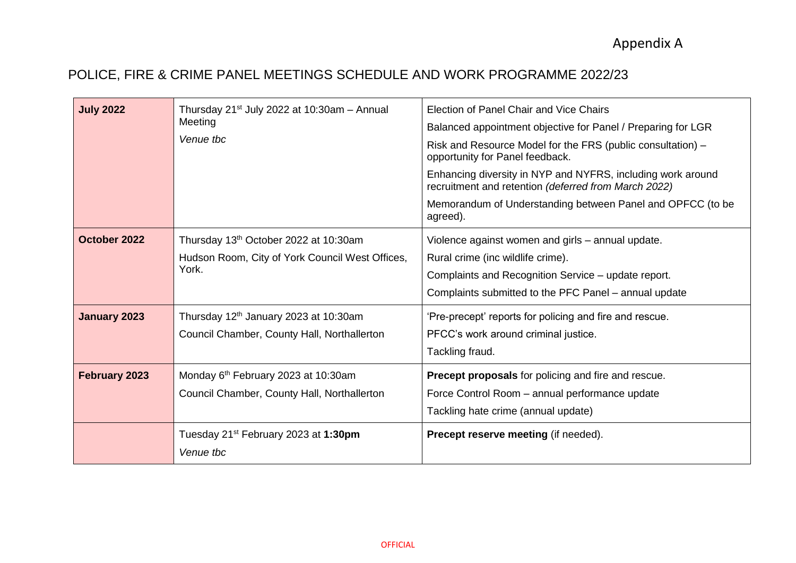## POLICE, FIRE & CRIME PANEL MEETINGS SCHEDULE AND WORK PROGRAMME 2022/23

| <b>July 2022</b>    | Thursday $21^{st}$ July 2022 at 10:30am - Annual<br>Meeting<br>Venue tbc                          | Election of Panel Chair and Vice Chairs<br>Balanced appointment objective for Panel / Preparing for LGR<br>Risk and Resource Model for the FRS (public consultation) –<br>opportunity for Panel feedback.<br>Enhancing diversity in NYP and NYFRS, including work around<br>recruitment and retention (deferred from March 2022)<br>Memorandum of Understanding between Panel and OPFCC (to be<br>agreed). |
|---------------------|---------------------------------------------------------------------------------------------------|------------------------------------------------------------------------------------------------------------------------------------------------------------------------------------------------------------------------------------------------------------------------------------------------------------------------------------------------------------------------------------------------------------|
| October 2022        | Thursday 13th October 2022 at 10:30am<br>Hudson Room, City of York Council West Offices,<br>York. | Violence against women and girls - annual update.<br>Rural crime (inc wildlife crime).<br>Complaints and Recognition Service - update report.<br>Complaints submitted to the PFC Panel – annual update                                                                                                                                                                                                     |
| <b>January 2023</b> | Thursday 12 <sup>th</sup> January 2023 at 10:30am<br>Council Chamber, County Hall, Northallerton  | 'Pre-precept' reports for policing and fire and rescue.<br>PFCC's work around criminal justice.<br>Tackling fraud.                                                                                                                                                                                                                                                                                         |
| February 2023       | Monday 6th February 2023 at 10:30am<br>Council Chamber, County Hall, Northallerton                | <b>Precept proposals</b> for policing and fire and rescue.<br>Force Control Room - annual performance update<br>Tackling hate crime (annual update)                                                                                                                                                                                                                                                        |
|                     | Tuesday 21 <sup>st</sup> February 2023 at 1:30pm<br>Venue tbc                                     | Precept reserve meeting (if needed).                                                                                                                                                                                                                                                                                                                                                                       |